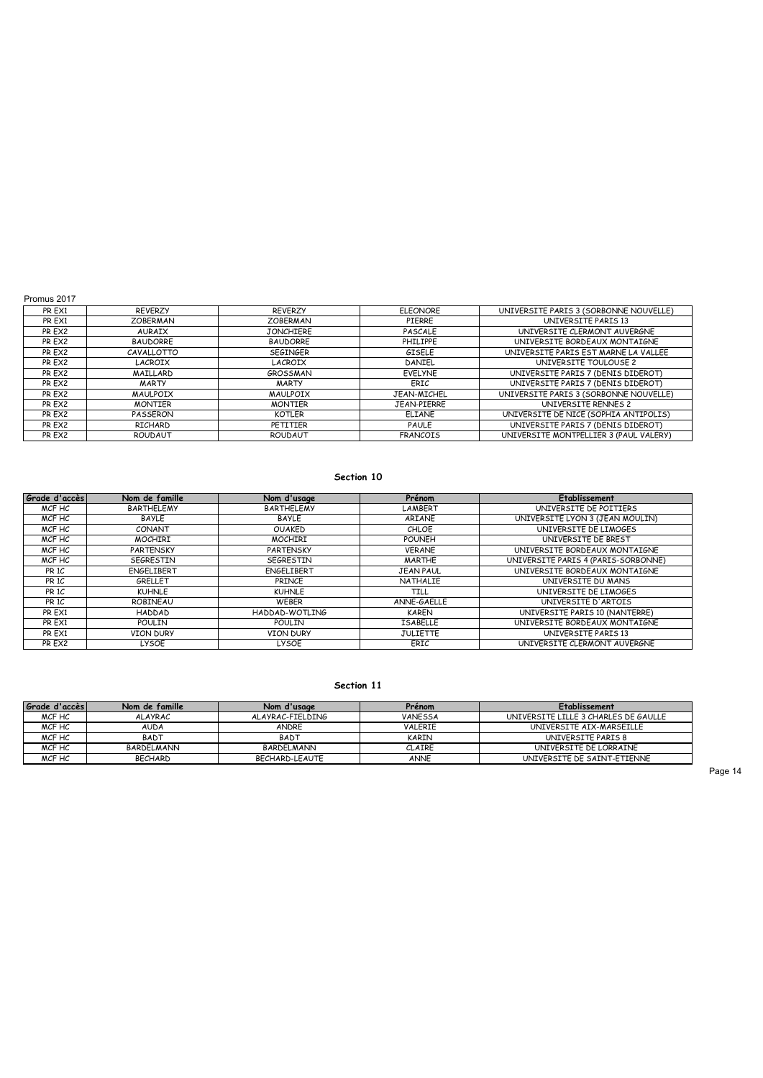|  | Promus 2017 |  |  |
|--|-------------|--|--|
|--|-------------|--|--|

| PR EX1 | <b>REVERZY</b>  | <b>REVERZY</b>   | <b>ELEONORE</b> | UNIVERSITE PARIS 3 (SORBONNE NOUVELLE) |
|--------|-----------------|------------------|-----------------|----------------------------------------|
| PR EX1 | <b>ZOBERMAN</b> | <b>ZOBERMAN</b>  | PIERRE          | UNIVERSITE PARIS 13                    |
| PR EX2 | <b>AURAIX</b>   | <b>JONCHIERE</b> | PASCALE         | UNIVERSITE CLERMONT AUVERGNE           |
| PR EX2 | <b>BAUDORRE</b> | <b>BAUDORRE</b>  | <b>PHILIPPE</b> | UNIVERSITE BORDEAUX MONTAIGNE          |
| PR EX2 | CAVALLOTTO      | <b>SEGINGER</b>  | GISELE          | UNIVERSITE PARIS EST MARNE LA VALLEE   |
| PR EX2 | LACROIX         | LACROIX          | DANIEL          | UNIVERSITE TOULOUSE 2                  |
| PR EX2 | MAILLARD        | GROSSMAN         | <b>EVELYNE</b>  | UNIVERSITE PARIS 7 (DENIS DIDEROT)     |
| PR EX2 | <b>MARTY</b>    | <b>MARTY</b>     | ERIC            | UNIVERSITE PARIS 7 (DENIS DIDEROT)     |
| PR EX2 | <b>MAULPOIX</b> | <b>MAULPOIX</b>  | JEAN-MICHEL     | UNIVERSITE PARIS 3 (SORBONNE NOUVELLE) |
| PR EX2 | <b>MONTIER</b>  | <b>MONTIER</b>   | JEAN-PIERRE     | UNIVERSITE RENNES 2                    |
| PR EX2 | PASSERON        | KOTLER           | <b>ELIANE</b>   | UNIVERSITE DE NICE (SOPHIA ANTIPOLIS)  |
| PR EX2 | RICHARD         | PETITIER         | PAULE           | UNIVERSITE PARIS 7 (DENIS DIDEROT)     |
| PR EX2 | ROUDAUT         | ROUDAUT          | <b>FRANCOIS</b> | UNIVERSITE MONTPELLIER 3 (PAUL VALERY) |

## **Section 10**

| Grade d'accès    | Nom de famille    | Nom d'usage       | Prénom           | <b>Etablissement</b>                |
|------------------|-------------------|-------------------|------------------|-------------------------------------|
| MCF HC           | <b>BARTHELEMY</b> | <b>BARTHELEMY</b> | LAMBERT          | UNIVERSITE DE POITIERS              |
| MCF HC           | <b>BAYLE</b>      | <b>BAYLE</b>      | ARIANE           | UNIVERSITE LYON 3 (JEAN MOULIN)     |
| MCF HC           | CONANT            | <b>OUAKED</b>     | CHLOE            | UNIVERSITE DE LIMOGES               |
| MCF HC           | <b>MOCHIRI</b>    | <b>MOCHIRI</b>    | <b>POUNEH</b>    | UNIVERSITE DE BREST                 |
| MCF HC           | <b>PARTENSKY</b>  | <b>PARTENSKY</b>  | <b>VERANE</b>    | UNIVERSITE BORDEAUX MONTAIGNE       |
| MCF HC           | <b>SEGRESTIN</b>  | <b>SEGRESTIN</b>  | <b>MARTHE</b>    | UNIVERSITE PARIS 4 (PARIS-SORBONNE) |
| PR <sub>1C</sub> | ENGELIBERT        | ENGELIBERT        | <b>JEAN PAUL</b> | UNIVERSITE BORDEAUX MONTAIGNE       |
| PR <sub>1C</sub> | GRELLET           | PRINCE            | <b>NATHALIE</b>  | UNIVERSITE DU MANS                  |
| PR <sub>1C</sub> | <b>KUHNLE</b>     | <b>KUHNLE</b>     | TILL             | UNIVERSITE DE LIMOGES               |
| PR <sub>1C</sub> | ROBINEAU          | <b>WEBER</b>      | ANNE-GAELLE      | UNIVERSITE D'ARTOIS                 |
| PR EX1           | <b>HADDAD</b>     | HADDAD-WOTLING    | <b>KAREN</b>     | UNIVERSITE PARIS 10 (NANTERRE)      |
| PR EX1           | <b>POULIN</b>     | POULIN            | <b>ISABELLE</b>  | UNIVERSITE BORDEAUX MONTAIGNE       |
| PR EX1           | <b>VION DURY</b>  | <b>VION DURY</b>  | <b>JULIETTE</b>  | UNIVERSITE PARIS 13                 |
| PR EX2           | LYSOE             | <b>LYSOE</b>      | ERIC             | UNIVERSITE CLERMONT AUVERGNE        |

## **Section 11**

| Grade d'accès l | Nom de famille | Nom d'usage      | Prénom         | Etablissement                        |
|-----------------|----------------|------------------|----------------|--------------------------------------|
| MCF HC          | <b>ALAYRAC</b> | ALAYRAC-FIELDING | <b>VANESSA</b> | UNIVERSITE LILLE 3 CHARLES DE GAULLE |
| MCF HC          | <b>AUDA</b>    | ANDRE            | VALERIE        | UNIVERSITE AIX-MARSEILLE             |
| MCF HC          | <b>BADT</b>    | <b>BADT</b>      | KARIN          | UNIVERSITE PARIS 8                   |
| MCF HC          | BARDELMANN     | BARDELMANN       | <b>CLAIRE</b>  | UNIVERSITE DE LORRAINE               |
| MCF HC          | <b>BECHARD</b> | BECHARD-LEAUTE   | ANNE           | UNIVERSITE DE SAINT-ETIENNE          |
|                 |                |                  |                |                                      |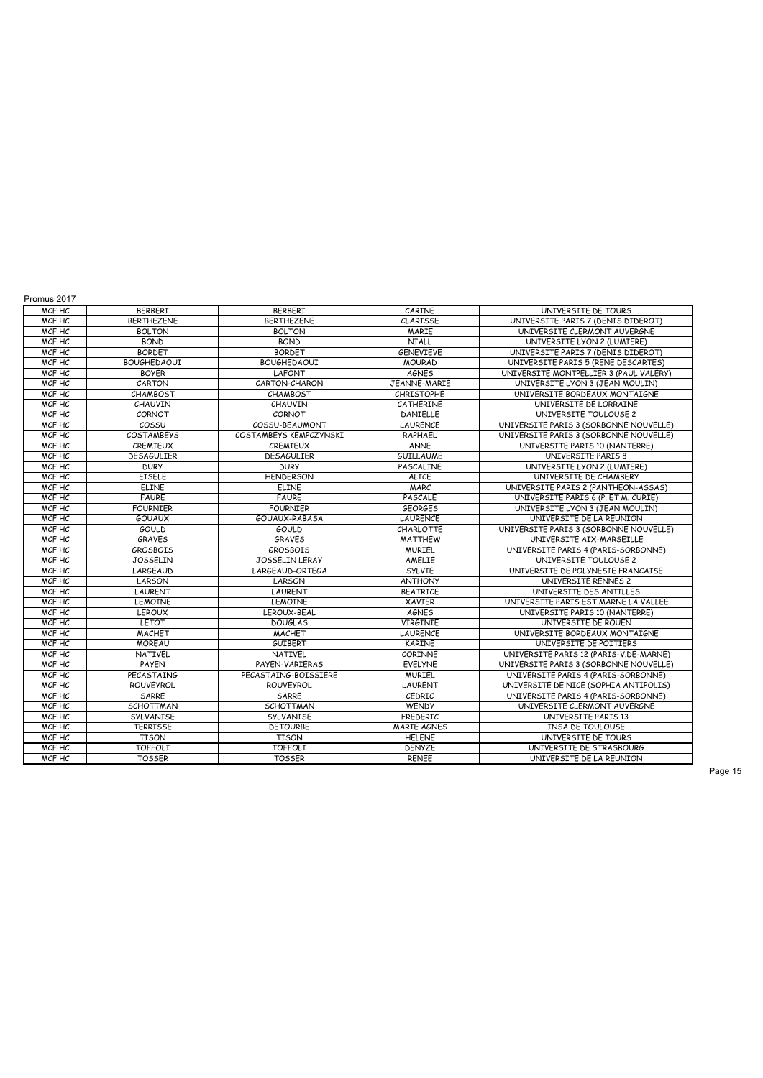| MCF HC | BERBERI            | <b>BERBERI</b>         | CARINE             | UNIVERSITE DE TOURS                    |
|--------|--------------------|------------------------|--------------------|----------------------------------------|
| MCF HC | <b>BERTHEZENE</b>  | <b>BERTHEZENE</b>      | <b>CLARISSE</b>    | UNIVERSITE PARIS 7 (DENIS DIDEROT)     |
| MCF HC | <b>BOLTON</b>      | <b>BOLTON</b>          | <b>MARIE</b>       | UNIVERSITE CLERMONT AUVERGNE           |
| MCF HC | <b>BOND</b>        | <b>BOND</b>            | <b>NIALL</b>       | UNIVERSITE LYON 2 (LUMIERE)            |
| MCF HC | <b>BORDET</b>      | <b>BORDET</b>          | <b>GENEVIEVE</b>   | UNIVERSITE PARIS 7 (DENIS DIDEROT)     |
| MCF HC | <b>BOUGHEDAOUI</b> | <b>BOUGHEDAOUI</b>     | <b>MOURAD</b>      | UNIVERSITE PARIS 5 (RENE DESCARTES)    |
| MCF HC | <b>BOYFR</b>       | LAFONT                 | <b>AGNES</b>       | UNIVERSITE MONTPELLIER 3 (PAUL VALERY) |
| MCF HC | CARTON             | CARTON-CHARON          | JEANNE-MARIE       | UNIVERSITE LYON 3 (JEAN MOULIN)        |
| MCF HC | CHAMBOST           | <b>CHAMBOST</b>        | <b>CHRISTOPHE</b>  | UNIVERSITE BORDEAUX MONTAIGNE          |
| MCF HC | CHAUVIN            | CHAUVIN                | CATHERINE          | UNIVERSITE DE LORRAINE                 |
| MCF HC | CORNOT             | CORNOT                 | <b>DANIELLE</b>    | UNIVERSITE TOULOUSE 2                  |
| MCF HC | COSSU              | COSSU-BEAUMONT         | <b>LAURENCE</b>    | UNIVERSITE PARIS 3 (SORBONNE NOUVELLE) |
| MCF HC | <b>COSTAMBEYS</b>  | COSTAMBEYS KEMPCZYNSKI | RAPHAEL            | UNIVERSITE PARIS 3 (SORBONNE NOUVELLE) |
| MCF HC | CREMIEUX           | CREMIEUX               | <b>ANNE</b>        | UNIVERSITE PARIS 10 (NANTERRE)         |
| MCF HC | <b>DESAGULIER</b>  | <b>DESAGULIER</b>      | <b>GUILLAUME</b>   | UNIVERSITE PARIS 8                     |
| MCF HC | <b>DURY</b>        | <b>DURY</b>            | PASCALINE          | UNIVERSITE LYON 2 (LUMIERE)            |
| MCF HC | <b>EISELE</b>      | <b>HENDERSON</b>       | <b>ALICE</b>       | UNIVERSITE DE CHAMBERY                 |
| MCF HC | <b>ELINE</b>       | <b>ELINE</b>           | <b>MARC</b>        | UNIVERSITE PARIS 2 (PANTHEON-ASSAS)    |
| MCF HC | <b>FAURE</b>       | <b>FAURE</b>           | PASCALE            | UNIVERSITE PARIS 6 (P. ET M. CURIE)    |
| MCF HC | <b>FOURNIER</b>    | <b>FOURNIER</b>        | <b>GEORGES</b>     | UNIVERSITE LYON 3 (JEAN MOULIN)        |
| MCF HC | <b>GOUAUX</b>      | GOUAUX-RABASA          | LAURENCE           | UNIVERSITE DE LA REUNION               |
| MCF HC | GOULD              | <b>GOULD</b>           | <b>CHARLOTTE</b>   | UNIVERSITE PARIS 3 (SORBONNE NOUVELLE) |
| MCF HC | <b>GRAVES</b>      | <b>GRAVES</b>          | <b>MATTHEW</b>     | UNIVERSITE AIX-MARSEILLE               |
| MCF HC | <b>GROSBOIS</b>    | <b>GROSBOIS</b>        | <b>MURIEL</b>      | UNIVERSITE PARIS 4 (PARIS-SORBONNE)    |
| MCF HC | <b>JOSSELIN</b>    | JOSSELIN LERAY         | AMELIE             | UNIVERSITE TOULOUSE 2                  |
| MCF HC | LARGEAUD           | LARGEAUD-ORTEGA        | <b>SYLVIE</b>      | UNIVERSITE DE POLYNESIE FRANCAISE      |
| MCF HC | LARSON             | LARSON                 | <b>ANTHONY</b>     | UNIVERSITE RENNES 2                    |
| MCF HC | <b>LAURENT</b>     | <b>LAURENT</b>         | <b>BEATRICE</b>    | UNIVERSITE DES ANTILLES                |
| MCF HC | <b>LEMOINE</b>     | <b>LEMOINE</b>         | <b>XAVIER</b>      | UNIVERSITE PARIS EST MARNE LA VALLEE   |
| MCF HC | <b>LEROUX</b>      | LEROUX-BEAL            | <b>AGNES</b>       | UNIVERSITE PARIS 10 (NANTERRE)         |
| MCF HC | LETOT              | <b>DOUGLAS</b>         | <b>VIRGINIE</b>    | UNIVERSITE DE ROUEN                    |
| MCF HC | <b>MACHET</b>      | <b>MACHET</b>          | <b>LAURENCE</b>    | UNIVERSITE BORDEAUX MONTAIGNE          |
| MCF HC | <b>MOREAU</b>      | <b>GUIBERT</b>         | <b>KARINE</b>      | UNIVERSITE DE POITIERS                 |
| MCF HC | <b>NATIVEL</b>     | <b>NATIVEL</b>         | CORINNE            | UNIVERSITE PARIS 12 (PARIS-V.DE-MARNE) |
| MCF HC | <b>PAYEN</b>       | PAYEN-VARIERAS         | EVELYNE            | UNIVERSITE PARIS 3 (SORBONNE NOUVELLE) |
| MCF HC | PECASTAING         | PECASTAING-BOISSIERE   | <b>MURIEL</b>      | UNIVERSITE PARIS 4 (PARIS-SORBONNE)    |
| MCF HC | <b>ROUVEYROL</b>   | <b>ROUVEYROL</b>       | LAURENT            | UNIVERSITE DE NICE (SOPHIA ANTIPOLIS)  |
| MCF HC | <b>SARRE</b>       | <b>SARRE</b>           | CEDRIC             | UNIVERSITE PARIS 4 (PARIS-SORBONNE)    |
| MCF HC | <b>SCHOTTMAN</b>   | SCHOTTMAN              | <b>WENDY</b>       | UNIVERSITE CLERMONT AUVERGNE           |
| MCF HC | SYLVANISE          | SYLVANISE              | FREDERIC           | UNIVERSITE PARIS 13                    |
| MCF HC | <b>TERRISSE</b>    | <b>DETOURBE</b>        | <b>MARIE AGNES</b> | <b>INSA DE TOULOUSE</b>                |
| MCF HC | <b>TISON</b>       | <b>TISON</b>           | <b>HELENE</b>      | UNIVERSITE DE TOURS                    |
| MCF HC | <b>TOFFOLI</b>     | <b>TOFFOLI</b>         | <b>DENYZE</b>      | UNIVERSITE DE STRASBOURG               |
| MCF HC | <b>TOSSER</b>      | <b>TOSSER</b>          | <b>RENEE</b>       | UNIVERSITE DE LA REUNION               |
|        |                    |                        |                    |                                        |

Promus 2017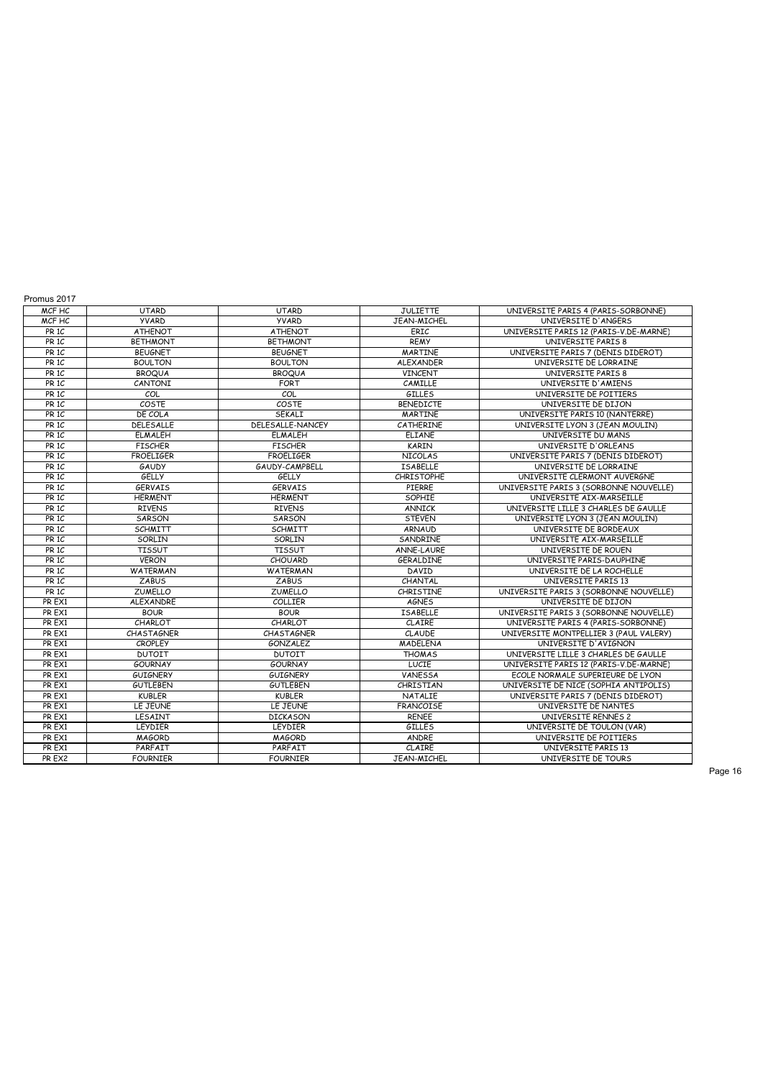| Promus 2017      |                   |                   |                   |                                        |
|------------------|-------------------|-------------------|-------------------|----------------------------------------|
| MCF HC           | <b>UTARD</b>      | <b>UTARD</b>      | <b>JULIETTE</b>   | UNIVERSITE PARIS 4 (PARIS-SORBONNE)    |
| MCF HC           | <b>YVARD</b>      | <b>YVARD</b>      | JEAN-MICHEL       | UNIVERSITE D'ANGERS                    |
| PR <sub>1C</sub> | <b>ATHENOT</b>    | <b>ATHENOT</b>    | ERIC              | UNIVERSITE PARIS 12 (PARIS-V.DE-MARNE) |
| PR <sub>1C</sub> | <b>BETHMONT</b>   | <b>BETHMONT</b>   | <b>REMY</b>       | UNIVERSITE PARIS 8                     |
| PR <sub>1C</sub> | <b>BEUGNET</b>    | <b>BEUGNET</b>    | <b>MARTINE</b>    | UNIVERSITE PARIS 7 (DENIS DIDEROT)     |
| PR <sub>1C</sub> | <b>BOULTON</b>    | <b>BOULTON</b>    | <b>ALEXANDER</b>  | UNIVERSITE DE LORRAINE                 |
| PR <sub>1C</sub> | <b>BROQUA</b>     | <b>BROQUA</b>     | <b>VINCENT</b>    | UNIVERSITE PARIS 8                     |
| PR <sub>1C</sub> | CANTONI           | <b>FORT</b>       | CAMILLE           | UNIVERSITE D'AMIENS                    |
| PR <sub>1C</sub> | COL               | COL               | <b>GILLES</b>     | UNIVERSITE DE POITIERS                 |
| PR <sub>1C</sub> | COSTE             | COSTE             | <b>BENEDICTE</b>  | UNIVERSITE DE DIJON                    |
| PR <sub>1C</sub> | DE COLA           | SEKALI            | <b>MARTINE</b>    | UNIVERSITE PARIS 10 (NANTERRE)         |
| PR <sub>1C</sub> | DELESALLE         | DELESALLE-NANCEY  | <b>CATHERINE</b>  | UNIVERSITE LYON 3 (JEAN MOULIN)        |
| PR <sub>1C</sub> | <b>ELMALEH</b>    | <b>ELMALEH</b>    | <b>ELIANE</b>     | UNIVERSITE DU MANS                     |
| PR <sub>1C</sub> | <b>FISCHFR</b>    | <b>FISCHER</b>    | <b>KARIN</b>      | UNIVERSITE D'ORLEANS                   |
| PR <sub>1C</sub> | <b>FROELIGER</b>  | <b>FROELIGER</b>  | <b>NICOLAS</b>    | UNIVERSITE PARIS 7 (DENIS DIDEROT)     |
| PR <sub>1C</sub> | <b>GAUDY</b>      | GAUDY-CAMPBELL    | <b>ISABELLE</b>   | UNIVERSITE DE LORRAINE                 |
| PR <sub>1C</sub> | GELLY             | <b>GELLY</b>      | <b>CHRISTOPHE</b> | UNIVERSITE CLERMONT AUVERGNE           |
| PR <sub>1C</sub> | <b>GERVAIS</b>    | <b>GERVAIS</b>    | PIERRE            | UNIVERSITE PARIS 3 (SORBONNE NOUVELLE) |
| PR <sub>1C</sub> | <b>HERMENT</b>    | <b>HERMENT</b>    | SOPHIE            | UNIVERSITE AIX-MARSEILLE               |
| PR <sub>1C</sub> | <b>RIVENS</b>     | <b>RIVENS</b>     | <b>ANNICK</b>     | UNIVERSITE LILLE 3 CHARLES DE GAULLE   |
| PR <sub>1C</sub> | SARSON            | SARSON            | <b>STEVEN</b>     | UNIVERSITE LYON 3 (JEAN MOULIN)        |
| PR <sub>1C</sub> | <b>SCHMITT</b>    | <b>SCHMITT</b>    | <b>ARNAUD</b>     | UNIVERSITE DE BORDEAUX                 |
| PR <sub>1C</sub> | SORLIN            | SORLIN            | SANDRINE          | UNIVERSITE AIX-MARSEILLE               |
| PR <sub>1C</sub> | <b>TISSUT</b>     | <b>TISSUT</b>     | <b>ANNE-LAURE</b> | UNIVERSITE DE ROUEN                    |
| PR <sub>1C</sub> | <b>VERON</b>      | <b>CHOUARD</b>    | GERALDINE         | UNIVERSITE PARIS-DAUPHINE              |
| PR <sub>1C</sub> | WATERMAN          | <b>WATERMAN</b>   | DAVID             | UNIVERSITE DE LA ROCHELLE              |
| PR <sub>1C</sub> | <b>ZABUS</b>      | <b>ZABUS</b>      | CHANTAL           | UNIVERSITE PARIS 13                    |
| PR <sub>1C</sub> | <b>ZUMELLO</b>    | <b>ZUMELLO</b>    | <b>CHRISTINE</b>  | UNIVERSITE PARIS 3 (SORBONNE NOUVELLE) |
| PR EX1           | ALEXANDRE         | <b>COLLIER</b>    | <b>AGNES</b>      | UNIVERSITE DE DIJON                    |
| PR EX1           | <b>BOUR</b>       | <b>BOUR</b>       | <b>ISABELLE</b>   | UNIVERSITE PARIS 3 (SORBONNE NOUVELLE) |
| PR EX1           | CHARLOT           | CHARLOT           | CLAIRE            | UNIVERSITE PARIS 4 (PARIS-SORBONNE)    |
| PR EX1           | <b>CHASTAGNER</b> | <b>CHASTAGNER</b> | CLAUDE            | UNIVERSITE MONTPELLIER 3 (PAUL VALERY) |
| PR EX1           | <b>CROPLEY</b>    | <b>GONZALEZ</b>   | <b>MADELENA</b>   | UNIVERSITE D'AVIGNON                   |
| PR EX1           | <b>DUTOIT</b>     | <b>DUTOIT</b>     | <b>THOMAS</b>     | UNIVERSITE LILLE 3 CHARLES DE GAULLE   |
| PR EX1           | <b>GOURNAY</b>    | <b>GOURNAY</b>    | LUCIE             | UNIVERSITE PARIS 12 (PARIS-V.DE-MARNE) |
| PR EX1           | <b>GUIGNERY</b>   | <b>GUIGNERY</b>   | <b>VANESSA</b>    | ECOLE NORMALE SUPERIEURE DE LYON       |
| PR EX1           | <b>GUTLEBEN</b>   | <b>GUTLEBEN</b>   | CHRISTIAN         | UNIVERSITE DE NICE (SOPHIA ANTIPOLIS)  |
| PR EX1           | <b>KUBLER</b>     | <b>KUBLER</b>     | <b>NATALIE</b>    | UNIVERSITE PARIS 7 (DENIS DIDEROT)     |
| PR EX1           | LE JEUNE          | LE JEUNE          | <b>FRANCOISE</b>  | UNIVERSITE DE NANTES                   |
| PR EX1           | LESAINT           | <b>DICKASON</b>   | <b>RENEE</b>      | UNIVERSITE RENNES 2                    |
| PR EX1           | LEYDIER           | LEYDIER           | <b>GILLES</b>     | UNIVERSITE DE TOULON (VAR)             |
| PR EX1           | <b>MAGORD</b>     | <b>MAGORD</b>     | ANDRE             | UNIVERSITE DE POITIERS                 |
| PR EX1           | PARFAIT           | PARFAIT           | CLAIRE            | UNIVERSITE PARIS 13                    |
| PR EX2           | <b>FOURNIER</b>   | <b>FOURNIER</b>   | JEAN-MICHEL       | UNIVERSITE DE TOURS                    |